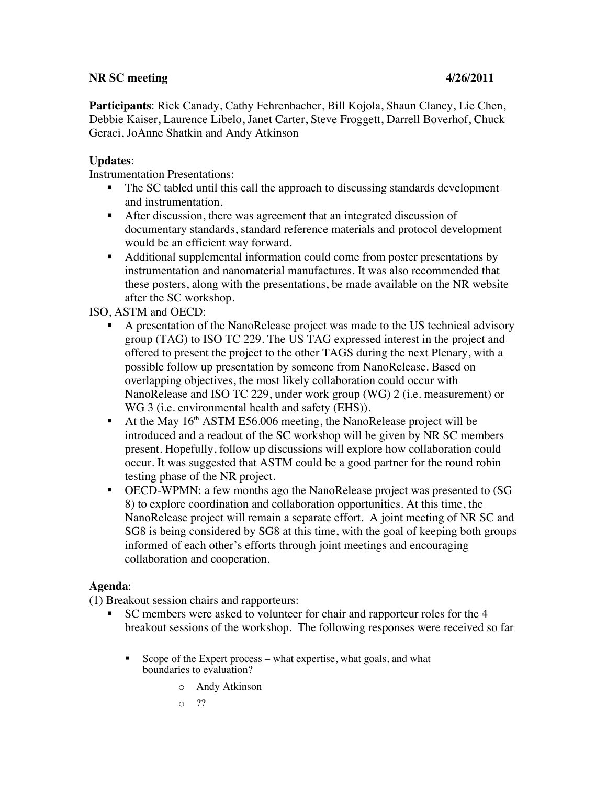## **NR SC meeting 4/26/2011**

**Participants**: Rick Canady, Cathy Fehrenbacher, Bill Kojola, Shaun Clancy, Lie Chen, Debbie Kaiser, Laurence Libelo, Janet Carter, Steve Froggett, Darrell Boverhof, Chuck Geraci, JoAnne Shatkin and Andy Atkinson

## **Updates**:

Instrumentation Presentations:

- The SC tabled until this call the approach to discussing standards development and instrumentation.
- After discussion, there was agreement that an integrated discussion of documentary standards, standard reference materials and protocol development would be an efficient way forward.
- Additional supplemental information could come from poster presentations by instrumentation and nanomaterial manufactures. It was also recommended that these posters, along with the presentations, be made available on the NR website after the SC workshop.

ISO, ASTM and OECD:

- A presentation of the NanoRelease project was made to the US technical advisory group (TAG) to ISO TC 229. The US TAG expressed interest in the project and offered to present the project to the other TAGS during the next Plenary, with a possible follow up presentation by someone from NanoRelease. Based on overlapping objectives, the most likely collaboration could occur with NanoRelease and ISO TC 229, under work group (WG) 2 (i.e. measurement) or WG 3 (i.e. environmental health and safety (EHS)).
- At the May  $16<sup>th</sup>$  ASTM E56.006 meeting, the NanoRelease project will be introduced and a readout of the SC workshop will be given by NR SC members present. Hopefully, follow up discussions will explore how collaboration could occur. It was suggested that ASTM could be a good partner for the round robin testing phase of the NR project.
- OECD-WPMN: a few months ago the NanoRelease project was presented to (SG 8) to explore coordination and collaboration opportunities. At this time, the NanoRelease project will remain a separate effort. A joint meeting of NR SC and SG8 is being considered by SG8 at this time, with the goal of keeping both groups informed of each other's efforts through joint meetings and encouraging collaboration and cooperation.

## **Agenda**:

(1) Breakout session chairs and rapporteurs:

- SC members were asked to volunteer for chair and rapporteur roles for the 4 breakout sessions of the workshop. The following responses were received so far
	- Scope of the Expert process what expertise, what goals, and what boundaries to evaluation?
		- o Andy Atkinson
		- o ??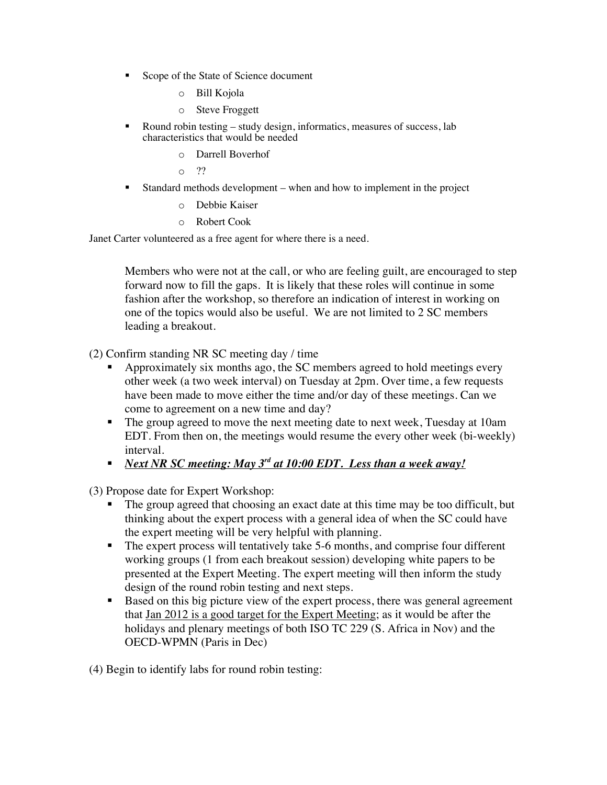- Scope of the State of Science document
	- o Bill Kojola
	- o Steve Froggett
- Round robin testing study design, informatics, measures of success, lab characteristics that would be needed
	- o Darrell Boverhof
	- o ??
- Standard methods development when and how to implement in the project
	- o Debbie Kaiser
	- o Robert Cook

Janet Carter volunteered as a free agent for where there is a need.

Members who were not at the call, or who are feeling guilt, are encouraged to step forward now to fill the gaps. It is likely that these roles will continue in some fashion after the workshop, so therefore an indication of interest in working on one of the topics would also be useful. We are not limited to 2 SC members leading a breakout.

(2) Confirm standing NR SC meeting day / time

- Approximately six months ago, the SC members agreed to hold meetings every other week (a two week interval) on Tuesday at 2pm. Over time, a few requests have been made to move either the time and/or day of these meetings. Can we come to agreement on a new time and day?
- The group agreed to move the next meeting date to next week, Tuesday at 10am EDT. From then on, the meetings would resume the every other week (bi-weekly) interval.
- *Next NR SC meeting: May 3rd at 10:00 EDT. Less than a week away!*

(3) Propose date for Expert Workshop:

- The group agreed that choosing an exact date at this time may be too difficult, but thinking about the expert process with a general idea of when the SC could have the expert meeting will be very helpful with planning.
- The expert process will tentatively take 5-6 months, and comprise four different working groups (1 from each breakout session) developing white papers to be presented at the Expert Meeting. The expert meeting will then inform the study design of the round robin testing and next steps.
- Based on this big picture view of the expert process, there was general agreement that Jan 2012 is a good target for the Expert Meeting; as it would be after the holidays and plenary meetings of both ISO TC 229 (S. Africa in Nov) and the OECD-WPMN (Paris in Dec)

(4) Begin to identify labs for round robin testing: